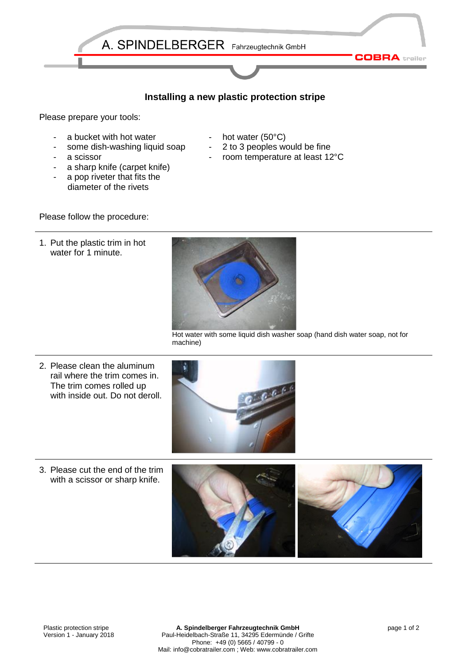

## **Installing a new plastic protection stripe**

Please prepare your tools:

- a bucket with hot water
- some dish-washing liquid soap
- a scissor
- a sharp knife (carpet knife)
- a pop riveter that fits the diameter of the rivets
- hot water  $(50^{\circ}C)$
- 2 to 3 peoples would be fine
- room temperature at least 12°C

Please follow the procedure:

1. Put the plastic trim in hot water for 1 minute.



Hot water with some liquid dish washer soap (hand dish water soap, not for machine)

2. Please clean the aluminum rail where the trim comes in. The trim comes rolled up with inside out. Do not deroll.



3. Please cut the end of the trim with a scissor or sharp knife.